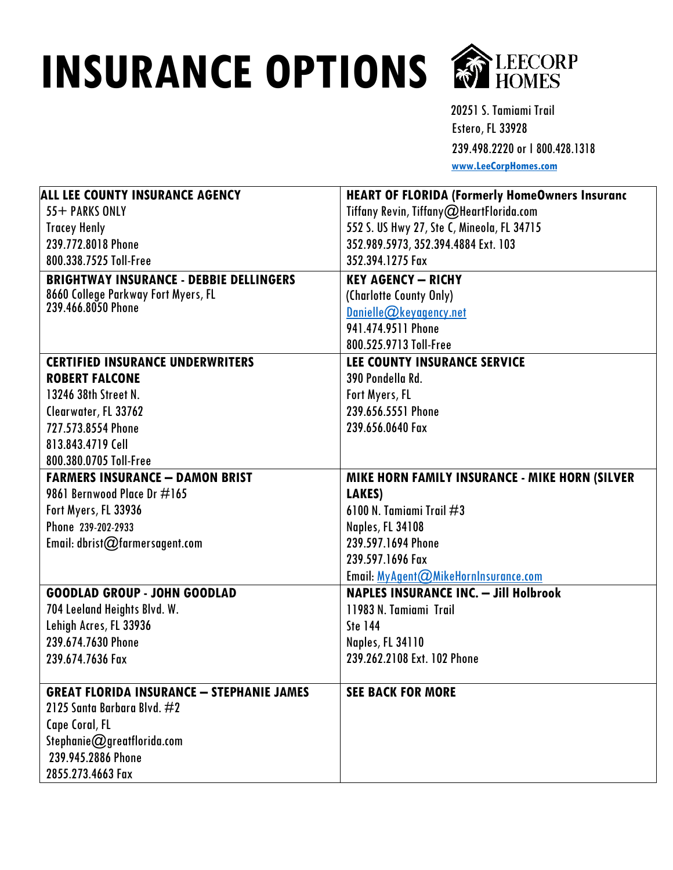## **INSURANCE OPTIONS COLLECTORP**



20251 S. Tamiami Trail Estero, FL 33928 239.498.2220or Ι 800.428.1318 **[www.LeeCorpHomes.com](http://www.leecorphomes.com/)**

| ALL LEE COUNTY INSURANCE AGENCY                  | <b>HEART OF FLORIDA (Formerly HomeOwners Insuranc</b> |
|--------------------------------------------------|-------------------------------------------------------|
| 55+ PARKS ONLY                                   | Tiffany Revin, Tiffany@HeartFlorida.com               |
| <b>Tracey Henly</b>                              | 552 S. US Hwy 27, Ste C, Mineola, FL 34715            |
| 239.772.8018 Phone                               | 352.989.5973, 352.394.4884 Ext. 103                   |
| 800.338.7525 Toll-Free                           | 352.394.1275 Fax                                      |
| <b>BRIGHTWAY INSURANCE - DEBBIE DELLINGERS</b>   | <b>KEY AGENCY - RICHY</b>                             |
| 8660 College Parkway Fort Myers, FL              | (Charlotte County Only)                               |
| 239.466.8050 Phone                               | $Danielle@$ keyagency.net                             |
|                                                  | 941.474.9511 Phone                                    |
|                                                  | 800.525.9713 Toll-Free                                |
| <b>CERTIFIED INSURANCE UNDERWRITERS</b>          | <b>LEE COUNTY INSURANCE SERVICE</b>                   |
| <b>ROBERT FALCONE</b>                            | 390 Pondella Rd.                                      |
| 13246 38th Street N.                             | Fort Myers, FL                                        |
| Clearwater, FL 33762                             | 239.656.5551 Phone                                    |
| 727.573.8554 Phone                               | 239.656.0640 Fax                                      |
| 813.843.4719 Cell                                |                                                       |
| 800.380.0705 Toll-Free                           |                                                       |
| <b>FARMERS INSURANCE - DAMON BRIST</b>           | MIKE HORN FAMILY INSURANCE - MIKE HORN (SILVER        |
| 9861 Bernwood Place Dr #165                      | LAKES)                                                |
| Fort Myers, FL 33936                             | 6100 N. Tamiami Trail $\#3$                           |
| Phone 239-202-2933                               | <b>Naples, FL 34108</b>                               |
| Email: dbrist@farmersagent.com                   | 239.597.1694 Phone                                    |
|                                                  | 239.597.1696 Fax                                      |
|                                                  | Email: MyAgent@MikeHornInsurance.com                  |
| <b>GOODLAD GROUP - JOHN GOODLAD</b>              | <b>NAPLES INSURANCE INC. - Jill Holbrook</b>          |
| 704 Leeland Heights Blvd. W.                     | 11983 N. Tamiami Trail                                |
| Lehigh Acres, FL 33936                           | <b>Ste 144</b>                                        |
| 239.674.7630 Phone                               | <b>Naples, FL 34110</b>                               |
| 239.674.7636 Fax                                 | 239.262.2108 Ext. 102 Phone                           |
|                                                  |                                                       |
| <b>GREAT FLORIDA INSURANCE - STEPHANIE JAMES</b> | <b>SEE BACK FOR MORE</b>                              |
| 2125 Santa Barbara Blvd. $\#2$                   |                                                       |
| Cape Coral, FL                                   |                                                       |
| Stephanie@greatflorida.com                       |                                                       |
| 239.945.2886 Phone                               |                                                       |
| 2855.273.4663 Fax                                |                                                       |